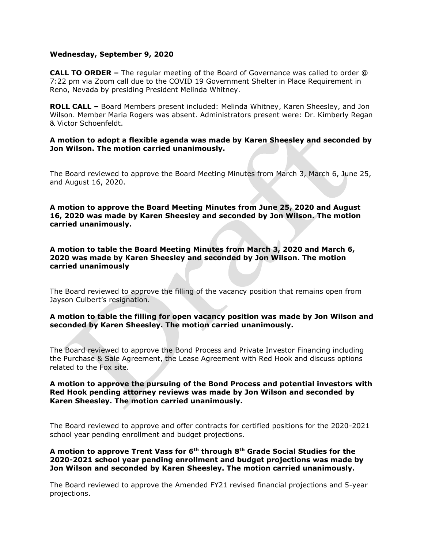#### **Wednesday, September 9, 2020**

**CALL TO ORDER –** The regular meeting of the Board of Governance was called to order @ 7:22 pm via Zoom call due to the COVID 19 Government Shelter in Place Requirement in Reno, Nevada by presiding President Melinda Whitney.

**ROLL CALL –** Board Members present included: Melinda Whitney, Karen Sheesley, and Jon Wilson. Member Maria Rogers was absent. Administrators present were: Dr. Kimberly Regan & Victor Schoenfeldt.

#### **A motion to adopt a flexible agenda was made by Karen Sheesley and seconded by Jon Wilson. The motion carried unanimously.**

The Board reviewed to approve the Board Meeting Minutes from March 3, March 6, June 25, and August 16, 2020.

**A motion to approve the Board Meeting Minutes from June 25, 2020 and August 16, 2020 was made by Karen Sheesley and seconded by Jon Wilson. The motion carried unanimously.**

**A motion to table the Board Meeting Minutes from March 3, 2020 and March 6, 2020 was made by Karen Sheesley and seconded by Jon Wilson. The motion carried unanimously**

The Board reviewed to approve the filling of the vacancy position that remains open from Jayson Culbert's resignation.

**A motion to table the filling for open vacancy position was made by Jon Wilson and seconded by Karen Sheesley. The motion carried unanimously.** 

The Board reviewed to approve the Bond Process and Private Investor Financing including the Purchase & Sale Agreement, the Lease Agreement with Red Hook and discuss options related to the Fox site.

### **A motion to approve the pursuing of the Bond Process and potential investors with Red Hook pending attorney reviews was made by Jon Wilson and seconded by Karen Sheesley. The motion carried unanimously.**

The Board reviewed to approve and offer contracts for certified positions for the 2020-2021 school year pending enrollment and budget projections.

**A motion to approve Trent Vass for 6th through 8th Grade Social Studies for the 2020-2021 school year pending enrollment and budget projections was made by Jon Wilson and seconded by Karen Sheesley. The motion carried unanimously.** 

The Board reviewed to approve the Amended FY21 revised financial projections and 5-year projections.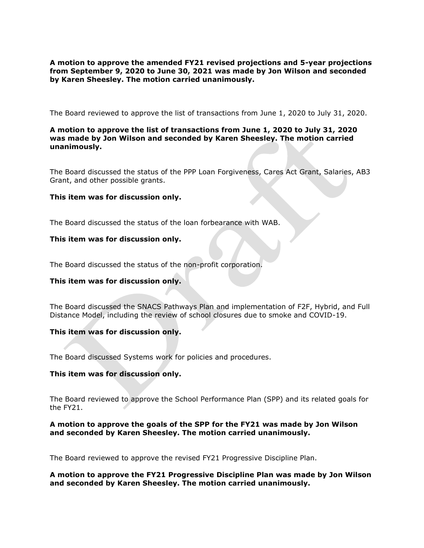**A motion to approve the amended FY21 revised projections and 5-year projections from September 9, 2020 to June 30, 2021 was made by Jon Wilson and seconded by Karen Sheesley. The motion carried unanimously.** 

The Board reviewed to approve the list of transactions from June 1, 2020 to July 31, 2020.

# **A motion to approve the list of transactions from June 1, 2020 to July 31, 2020 was made by Jon Wilson and seconded by Karen Sheesley. The motion carried unanimously.**

The Board discussed the status of the PPP Loan Forgiveness, Cares Act Grant, Salaries, AB3 Grant, and other possible grants.

#### **This item was for discussion only.**

The Board discussed the status of the loan forbearance with WAB.

#### **This item was for discussion only.**

The Board discussed the status of the non-profit corporation.

## **This item was for discussion only.**

The Board discussed the SNACS Pathways Plan and implementation of F2F, Hybrid, and Full Distance Model, including the review of school closures due to smoke and COVID-19.

#### **This item was for discussion only.**

The Board discussed Systems work for policies and procedures.

### **This item was for discussion only.**

The Board reviewed to approve the School Performance Plan (SPP) and its related goals for the FY21.

#### **A motion to approve the goals of the SPP for the FY21 was made by Jon Wilson and seconded by Karen Sheesley. The motion carried unanimously.**

The Board reviewed to approve the revised FY21 Progressive Discipline Plan.

**A motion to approve the FY21 Progressive Discipline Plan was made by Jon Wilson and seconded by Karen Sheesley. The motion carried unanimously.**